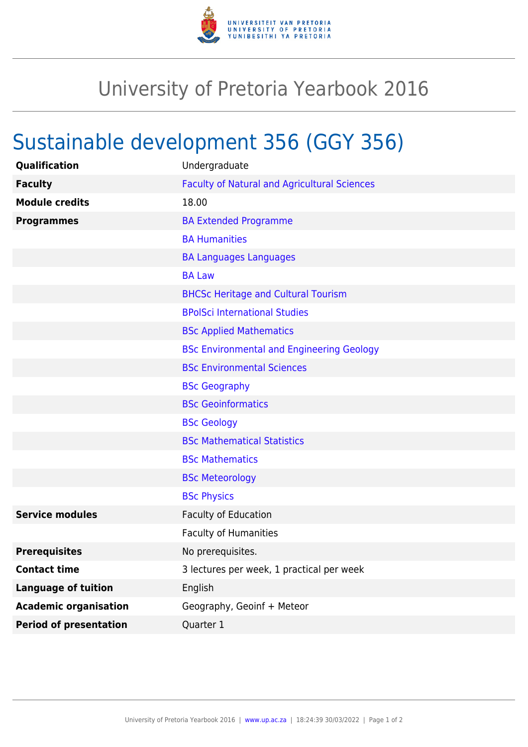

## University of Pretoria Yearbook 2016

## Sustainable development 356 (GGY 356)

| Qualification                 | Undergraduate                                       |
|-------------------------------|-----------------------------------------------------|
| <b>Faculty</b>                | <b>Faculty of Natural and Agricultural Sciences</b> |
| <b>Module credits</b>         | 18.00                                               |
| <b>Programmes</b>             | <b>BA Extended Programme</b>                        |
|                               | <b>BA Humanities</b>                                |
|                               | <b>BA Languages Languages</b>                       |
|                               | <b>BA Law</b>                                       |
|                               | <b>BHCSc Heritage and Cultural Tourism</b>          |
|                               | <b>BPolSci International Studies</b>                |
|                               | <b>BSc Applied Mathematics</b>                      |
|                               | <b>BSc Environmental and Engineering Geology</b>    |
|                               | <b>BSc Environmental Sciences</b>                   |
|                               | <b>BSc Geography</b>                                |
|                               | <b>BSc Geoinformatics</b>                           |
|                               | <b>BSc Geology</b>                                  |
|                               | <b>BSc Mathematical Statistics</b>                  |
|                               | <b>BSc Mathematics</b>                              |
|                               | <b>BSc Meteorology</b>                              |
|                               | <b>BSc Physics</b>                                  |
| <b>Service modules</b>        | Faculty of Education                                |
|                               | <b>Faculty of Humanities</b>                        |
| <b>Prerequisites</b>          | No prerequisites.                                   |
| <b>Contact time</b>           | 3 lectures per week, 1 practical per week           |
| <b>Language of tuition</b>    | English                                             |
| <b>Academic organisation</b>  | Geography, Geoinf + Meteor                          |
| <b>Period of presentation</b> | Quarter 1                                           |